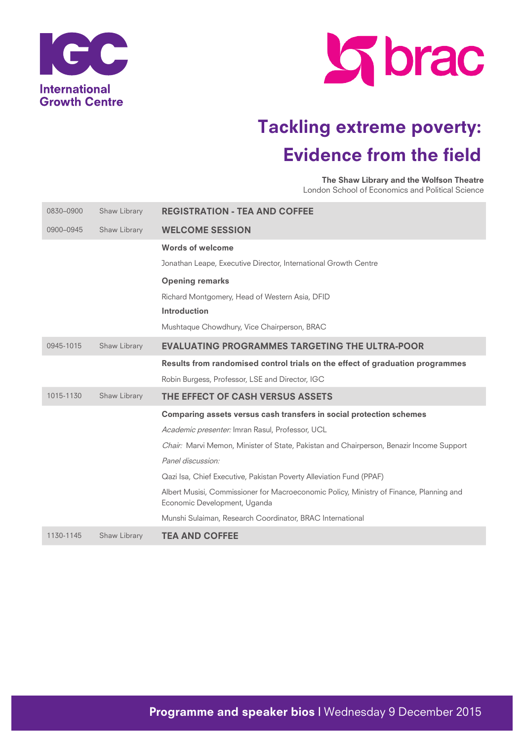



The Shaw Library and the Wolfson Theatre London School of Economics and Political Science

| 0830-0900 | Shaw Library | <b>REGISTRATION - TEA AND COFFEE</b>                                                                                    |
|-----------|--------------|-------------------------------------------------------------------------------------------------------------------------|
| 0900-0945 | Shaw Library | <b>WELCOME SESSION</b>                                                                                                  |
|           |              | <b>Words of welcome</b>                                                                                                 |
|           |              | Jonathan Leape, Executive Director, International Growth Centre                                                         |
|           |              | <b>Opening remarks</b>                                                                                                  |
|           |              | Richard Montgomery, Head of Western Asia, DFID                                                                          |
|           |              | <b>Introduction</b>                                                                                                     |
|           |              | Mushtaque Chowdhury, Vice Chairperson, BRAC                                                                             |
| 0945-1015 | Shaw Library | <b>EVALUATING PROGRAMMES TARGETING THE ULTRA-POOR</b>                                                                   |
|           |              | Results from randomised control trials on the effect of graduation programmes                                           |
|           |              | Robin Burgess, Professor, LSE and Director, IGC                                                                         |
| 1015-1130 | Shaw Library | THE EFFECT OF CASH VERSUS ASSETS                                                                                        |
|           |              | Comparing assets versus cash transfers in social protection schemes                                                     |
|           |              | Academic presenter: Imran Rasul, Professor, UCL                                                                         |
|           |              | Chair: Marvi Memon, Minister of State, Pakistan and Chairperson, Benazir Income Support                                 |
|           |              | Panel discussion:                                                                                                       |
|           |              | Qazi Isa, Chief Executive, Pakistan Poverty Alleviation Fund (PPAF)                                                     |
|           |              | Albert Musisi, Commissioner for Macroeconomic Policy, Ministry of Finance, Planning and<br>Economic Development, Uganda |
|           |              | Munshi Sulaiman, Research Coordinator, BRAC International                                                               |
| 1130-1145 | Shaw Library | <b>TEA AND COFFEE</b>                                                                                                   |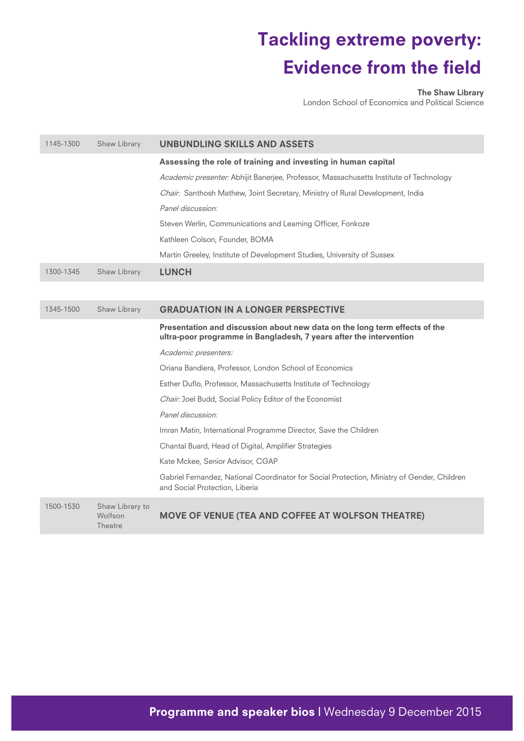The Shaw Library

London School of Economics and Political Science

| 1145-1300 | Shaw Library                                 | <b>UNBUNDLING SKILLS AND ASSETS</b>                                                                                                              |
|-----------|----------------------------------------------|--------------------------------------------------------------------------------------------------------------------------------------------------|
|           |                                              | Assessing the role of training and investing in human capital                                                                                    |
|           |                                              | Academic presenter: Abhijit Banerjee, Professor, Massachusetts Institute of Technology                                                           |
|           |                                              | Chair: Santhosh Mathew, Joint Secretary, Ministry of Rural Development, India                                                                    |
|           |                                              | Panel discussion:                                                                                                                                |
|           |                                              | Steven Werlin, Communications and Learning Officer, Fonkoze                                                                                      |
|           |                                              | Kathleen Colson, Founder, BOMA                                                                                                                   |
|           |                                              | Martin Greeley, Institute of Development Studies, University of Sussex                                                                           |
| 1300-1345 | Shaw Library                                 | <b>LUNCH</b>                                                                                                                                     |
|           |                                              |                                                                                                                                                  |
| 1345-1500 | Shaw Library                                 | <b>GRADUATION IN A LONGER PERSPECTIVE</b>                                                                                                        |
|           |                                              | Presentation and discussion about new data on the long term effects of the<br>ultra-poor programme in Bangladesh, 7 years after the intervention |
|           |                                              | Academic presenters:                                                                                                                             |
|           |                                              | Oriana Bandiera, Professor, London School of Economics                                                                                           |
|           |                                              | Esther Duflo, Professor, Massachusetts Institute of Technology                                                                                   |
|           |                                              | Chair: Joel Budd, Social Policy Editor of the Economist                                                                                          |
|           |                                              | Panel discussion:                                                                                                                                |
|           |                                              | Imran Matin, International Programme Director, Save the Children                                                                                 |
|           |                                              | Chantal Buard, Head of Digital, Amplifier Strategies                                                                                             |
|           |                                              | Kate Mckee, Senior Advisor, CGAP                                                                                                                 |
|           |                                              | Gabriel Fernandez, National Coordinator for Social Protection, Ministry of Gender, Children<br>and Social Protection, Liberia                    |
| 1500-1530 | Shaw Library to<br>Wolfson<br><b>Theatre</b> | MOVE OF VENUE (TEA AND COFFEE AT WOLFSON THEATRE)                                                                                                |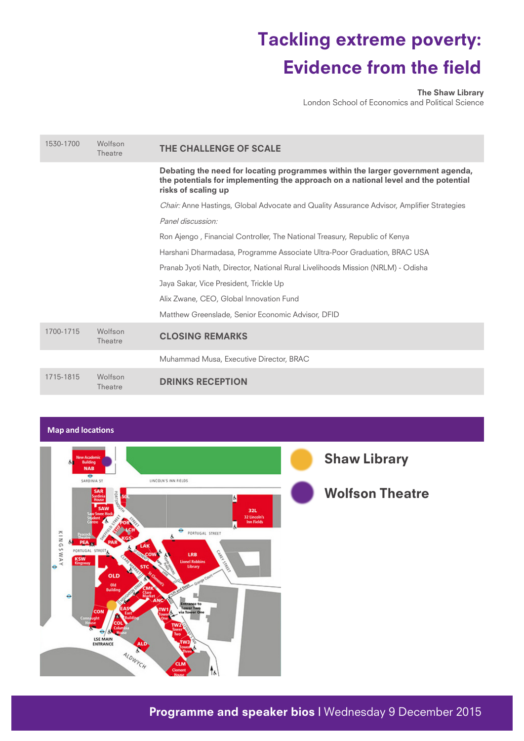The Shaw Library

London School of Economics and Political Science

| 1530-1700 | Wolfson<br>Theatre | THE CHALLENGE OF SCALE                                                                                                                                                                      |
|-----------|--------------------|---------------------------------------------------------------------------------------------------------------------------------------------------------------------------------------------|
|           |                    | Debating the need for locating programmes within the larger government agenda,<br>the potentials for implementing the approach on a national level and the potential<br>risks of scaling up |
|           |                    | <i>Chair:</i> Anne Hastings, Global Advocate and Quality Assurance Advisor, Amplifier Strategies                                                                                            |
|           |                    | Panel discussion:                                                                                                                                                                           |
|           |                    | Ron Ajengo, Financial Controller, The National Treasury, Republic of Kenya                                                                                                                  |
|           |                    | Harshani Dharmadasa, Programme Associate Ultra-Poor Graduation, BRAC USA                                                                                                                    |
|           |                    | Pranab Jyoti Nath, Director, National Rural Livelihoods Mission (NRLM) - Odisha                                                                                                             |
|           |                    | Jaya Sakar, Vice President, Trickle Up                                                                                                                                                      |
|           |                    | Alix Zwane, CEO, Global Innovation Fund                                                                                                                                                     |
|           |                    | Matthew Greenslade, Senior Economic Advisor, DFID                                                                                                                                           |
| 1700-1715 | Wolfson<br>Theatre | <b>CLOSING REMARKS</b>                                                                                                                                                                      |
|           |                    | Muhammad Musa, Executive Director, BRAC                                                                                                                                                     |
| 1715-1815 | Wolfson<br>Theatre | <b>DRINKS RECEPTION</b>                                                                                                                                                                     |

# **Map and locations**

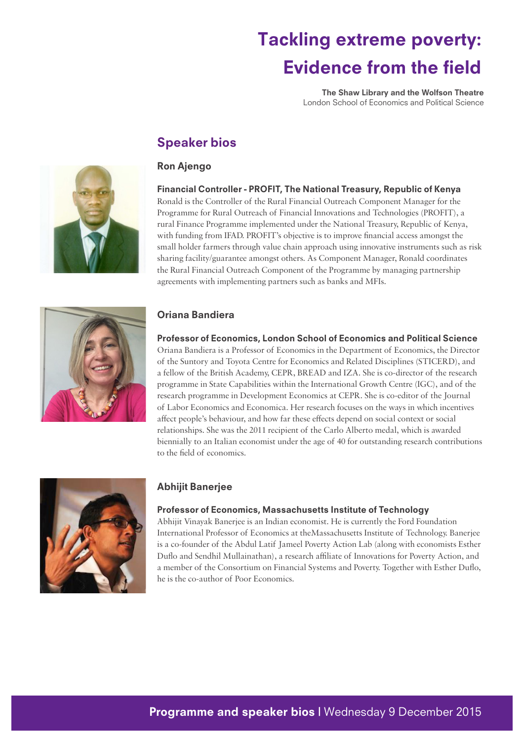The Shaw Library and the Wolfson Theatre London School of Economics and Political Science

# Speaker bios

# Ron Ajengo



### Financial Controller - PROFIT, The National Treasury, Republic of Kenya Ronald is the Controller of the Rural Financial Outreach Component Manager for the Programme for Rural Outreach of Financial Innovations and Technologies (PROFIT), a rural Finance Programme implemented under the National Treasury, Republic of Kenya, with funding from IFAD. PROFIT's objective is to improve financial access amongst the small holder farmers through value chain approach using innovative instruments such as risk sharing facility/guarantee amongst others. As Component Manager, Ronald coordinates the Rural Financial Outreach Component of the Programme by managing partnership agreements with implementing partners such as banks and MFIs.



# Oriana Bandiera

Professor of Economics, London School of Economics and Political Science Oriana Bandiera is a Professor of Economics in the Department of Economics, the Director of the Suntory and Toyota Centre for Economics and Related Disciplines (STICERD), and a fellow of the British Academy, CEPR, BREAD and IZA. She is co-director of the research programme in State Capabilities within the International Growth Centre (IGC), and of the research programme in Development Economics at CEPR. She is co-editor of the Journal of Labor Economics and Economica. Her research focuses on the ways in which incentives affect people's behaviour, and how far these effects depend on social context or social relationships. She was the 2011 recipient of the Carlo Alberto medal, which is awarded biennially to an Italian economist under the age of 40 for outstanding research contributions to the field of economics.



# Abhijit Banerjee

### Professor of Economics, Massachusetts Institute of Technology

Abhijit Vinayak Banerjee is an Indian economist. He is currently the Ford Foundation International Professor of Economics at theMassachusetts Institute of Technology. Banerjee is a co-founder of the Abdul Latif Jameel Poverty Action Lab (along with economists Esther Duflo and Sendhil Mullainathan), a research affiliate of Innovations for Poverty Action, and a member of the Consortium on Financial Systems and Poverty. Together with Esther Duflo, he is the co-author of Poor Economics.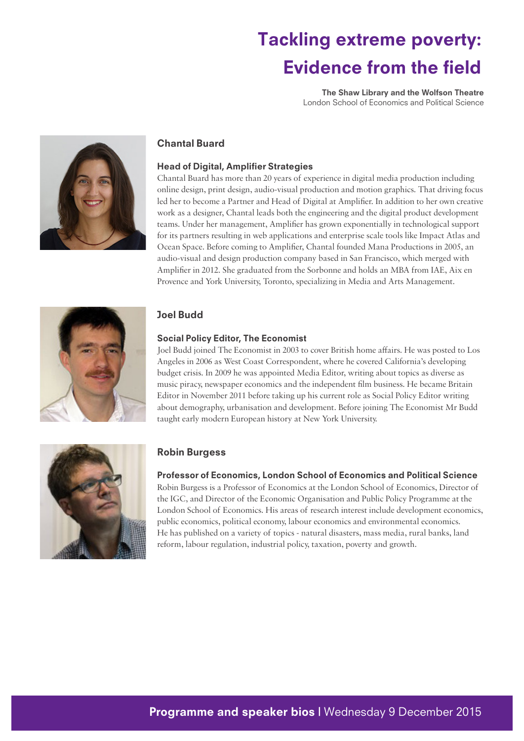The Shaw Library and the Wolfson Theatre London School of Economics and Political Science



# Chantal Buard

### Head of Digital, Amplifier Strategies

Chantal Buard has more than 20 years of experience in digital media production including online design, print design, audio-visual production and motion graphics. That driving focus led her to become a Partner and Head of Digital at Amplifier. In addition to her own creative work as a designer, Chantal leads both the engineering and the digital product development teams. Under her management, Amplifier has grown exponentially in technological support for its partners resulting in web applications and enterprise scale tools like Impact Atlas and Ocean Space. Before coming to Amplifier, Chantal founded Mana Productions in 2005, an audio-visual and design production company based in San Francisco, which merged with Amplifier in 2012. She graduated from the Sorbonne and holds an MBA from IAE, Aix en Provence and York University, Toronto, specializing in Media and Arts Management.



# Joel Budd

### Social Policy Editor, The Economist

Joel Budd joined The Economist in 2003 to cover British home affairs. He was posted to Los Angeles in 2006 as West Coast Correspondent, where he covered California's developing budget crisis. In 2009 he was appointed Media Editor, writing about topics as diverse as music piracy, newspaper economics and the independent film business. He became Britain Editor in November 2011 before taking up his current role as Social Policy Editor writing about demography, urbanisation and development. Before joining The Economist Mr Budd taught early modern European history at New York University.



# Robin Burgess

#### Professor of Economics, London School of Economics and Political Science

Robin Burgess is a Professor of Economics at the London School of Economics, Director of the IGC, and Director of the Economic Organisation and Public Policy Programme at the London School of Economics. His areas of research interest include development economics, public economics, political economy, labour economics and environmental economics. He has published on a variety of topics - natural disasters, mass media, rural banks, land reform, labour regulation, industrial policy, taxation, poverty and growth.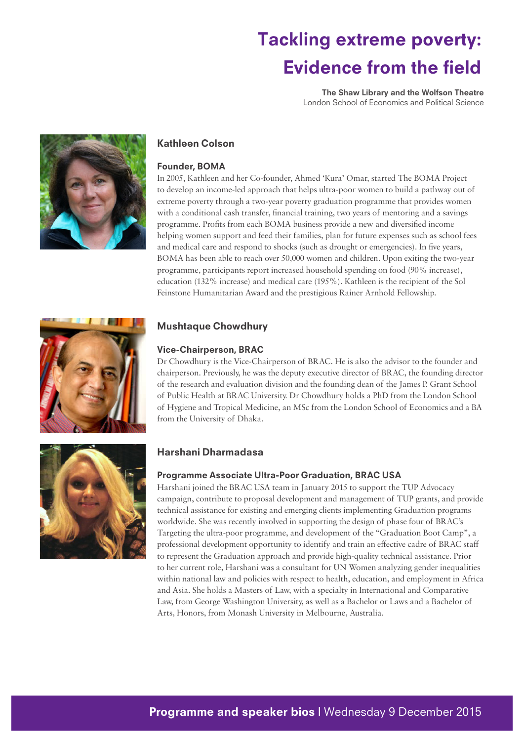The Shaw Library and the Wolfson Theatre London School of Economics and Political Science



# Kathleen Colson

### Founder, BOMA

In 2005, Kathleen and her Co-founder, Ahmed 'Kura' Omar, started The BOMA Project to develop an income-led approach that helps ultra-poor women to build a pathway out of extreme poverty through a two-year poverty graduation programme that provides women with a conditional cash transfer, financial training, two years of mentoring and a savings programme. Profits from each BOMA business provide a new and diversified income helping women support and feed their families, plan for future expenses such as school fees and medical care and respond to shocks (such as drought or emergencies). In five years, BOMA has been able to reach over 50,000 women and children. Upon exiting the two-year programme, participants report increased household spending on food (90% increase), education (132% increase) and medical care (195%). Kathleen is the recipient of the Sol Feinstone Humanitarian Award and the prestigious Rainer Arnhold Fellowship.



# Mushtaque Chowdhury

#### Vice-Chairperson, BRAC

Dr Chowdhury is the Vice-Chairperson of BRAC. He is also the advisor to the founder and chairperson. Previously, he was the deputy executive director of BRAC, the founding director of the research and evaluation division and the founding dean of the James P. Grant School of Public Health at BRAC University. Dr Chowdhury holds a PhD from the London School of Hygiene and Tropical Medicine, an MSc from the London School of Economics and a BA from the University of Dhaka.



### Harshani Dharmadasa

### Programme Associate Ultra-Poor Graduation, BRAC USA

Harshani joined the BRAC USA team in January 2015 to support the TUP Advocacy campaign, contribute to proposal development and management of TUP grants, and provide technical assistance for existing and emerging clients implementing Graduation programs worldwide. She was recently involved in supporting the design of phase four of BRAC's Targeting the ultra-poor programme, and development of the "Graduation Boot Camp", a professional development opportunity to identify and train an effective cadre of BRAC staff to represent the Graduation approach and provide high-quality technical assistance. Prior to her current role, Harshani was a consultant for UN Women analyzing gender inequalities within national law and policies with respect to health, education, and employment in Africa and Asia. She holds a Masters of Law, with a specialty in International and Comparative Law, from George Washington University, as well as a Bachelor or Laws and a Bachelor of Arts, Honors, from Monash University in Melbourne, Australia.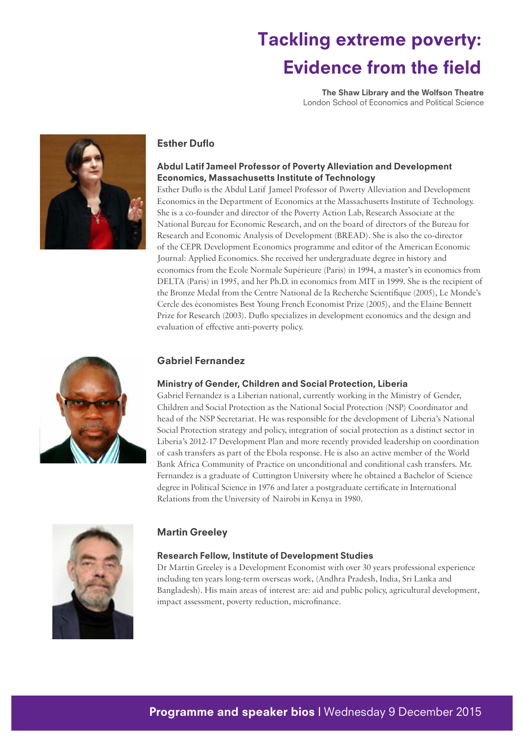The Shaw Library and the Wolfson Theatre London School of Economics and Political Science



### Esther Duflo

### Abdul Latif Jameel Professor of Poverty Alleviation and Development Economics, Massachusetts Institute of Technology

Esther Duflo is the Abdul Latif Jameel Professor of Poverty Alleviation and Development Economics in the Department of Economics at the Massachusetts Institute of Technology. She is a co-founder and director of the Poverty Action Lab, Research Associate at the National Bureau for Economic Research, and on the board of directors of the Bureau for Research and Economic Analysis of Development (BREAD). She is also the co-director of the CEPR Development Economics programme and editor of the American Economic Journal: Applied Economics. She received her undergraduate degree in history and economics from the Ecole Normale Supérieure (Paris) in 1994, a master's in economics from DELTA (Paris) in 1995, and her Ph.D. in economics from MIT in 1999. She is the recipient of the Bronze Medal from the Centre National de la Recherche Scientifique (2005), Le Monde's Cercle des économistes Best Young French Economist Prize (2005), and the Elaine Bennett Prize for Research (2003). Duflo specializes in development economics and the design and evaluation of effective anti-poverty policy.



### Gabriel Fernandez

### Ministry of Gender, Children and Social Protection, Liberia

Gabriel Fernandez is a Liberian national, currently working in the Ministry of Gender, Children and Social Protection as the National Social Protection (NSP) Coordinator and head of the NSP Secretariat. He was responsible for the development of Liberia's National Social Protection strategy and policy, integration of social protection as a distinct sector in Liberia's 2012-17 Development Plan and more recently provided leadership on coordination of cash transfers as part of the Ebola response. He is also an active member of the World Bank Africa Community of Practice on unconditional and conditional cash transfers. Mr. Fernandez is a graduate of Cuttington University where he obtained a Bachelor of Science degree in Political Science in 1976 and later a postgraduate certificate in International Relations from the University of Nairobi in Kenya in 1980.



### Martin Greeley

### Research Fellow, Institute of Development Studies

Dr Martin Greeley is a Development Economist with over 30 years professional experience including ten years long-term overseas work, (Andhra Pradesh, India, Sri Lanka and Bangladesh). His main areas of interest are: aid and public policy, agricultural development, impact assessment, poverty reduction, microfinance.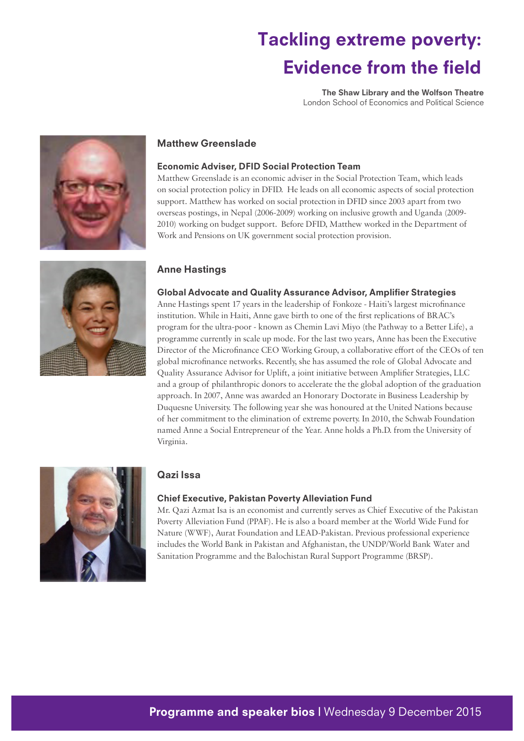The Shaw Library and the Wolfson Theatre London School of Economics and Political Science



# Matthew Greenslade

#### Economic Adviser, DFID Social Protection Team

Matthew Greenslade is an economic adviser in the Social Protection Team, which leads on social protection policy in DFID. He leads on all economic aspects of social protection support. Matthew has worked on social protection in DFID since 2003 apart from two overseas postings, in Nepal (2006-2009) working on inclusive growth and Uganda (2009- 2010) working on budget support. Before DFID, Matthew worked in the Department of Work and Pensions on UK government social protection provision.

### Anne Hastings

#### Global Advocate and Quality Assurance Advisor, Amplifier Strategies

Anne Hastings spent 17 years in the leadership of Fonkoze - Haiti's largest microfinance institution. While in Haiti, Anne gave birth to one of the first replications of BRAC's program for the ultra-poor - known as Chemin Lavi Miyo (the Pathway to a Better Life), a programme currently in scale up mode. For the last two years, Anne has been the Executive Director of the Microfinance CEO Working Group, a collaborative effort of the CEOs of ten global microfinance networks. Recently, she has assumed the role of Global Advocate and Quality Assurance Advisor for Uplift, a joint initiative between Amplifier Strategies, LLC and a group of philanthropic donors to accelerate the the global adoption of the graduation approach. In 2007, Anne was awarded an Honorary Doctorate in Business Leadership by Duquesne University. The following year she was honoured at the United Nations because of her commitment to the elimination of extreme poverty. In 2010, the Schwab Foundation named Anne a Social Entrepreneur of the Year. Anne holds a Ph.D. from the University of Virginia.



### Qazi Issa

#### Chief Executive, Pakistan Poverty Alleviation Fund

Mr. Qazi Azmat Isa is an economist and currently serves as Chief Executive of the Pakistan Poverty Alleviation Fund (PPAF). He is also a board member at the World Wide Fund for Nature (WWF), Aurat Foundation and LEAD-Pakistan. Previous professional experience includes the World Bank in Pakistan and Afghanistan, the UNDP/World Bank Water and Sanitation Programme and the Balochistan Rural Support Programme (BRSP).

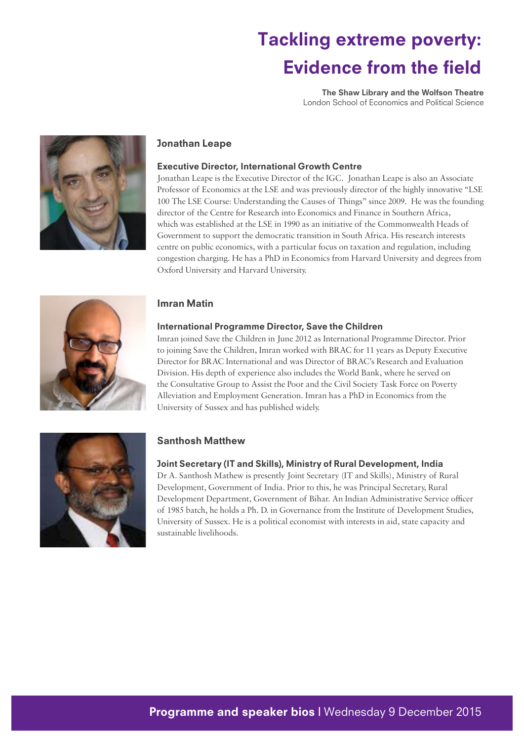The Shaw Library and the Wolfson Theatre London School of Economics and Political Science



# Jonathan Leape

### Executive Director, International Growth Centre

Jonathan Leape is the Executive Director of the IGC. Jonathan Leape is also an Associate Professor of Economics at the LSE and was previously director of the highly innovative "LSE 100 The LSE Course: Understanding the Causes of Things" since 2009. He was the founding director of the Centre for Research into Economics and Finance in Southern Africa, which was established at the LSE in 1990 as an initiative of the Commonwealth Heads of Government to support the democratic transition in South Africa. His research interests centre on public economics, with a particular focus on taxation and regulation, including congestion charging. He has a PhD in Economics from Harvard University and degrees from Oxford University and Harvard University.



### Imran Matin

### International Programme Director, Save the Children

Imran joined Save the Children in June 2012 as International Programme Director. Prior to joining Save the Children, Imran worked with BRAC for 11 years as Deputy Executive Director for BRAC International and was Director of BRAC's Research and Evaluation Division. His depth of experience also includes the World Bank, where he served on the Consultative Group to Assist the Poor and the Civil Society Task Force on Poverty Alleviation and Employment Generation. Imran has a PhD in Economics from the University of Sussex and has published widely.



# Santhosh Matthew

### Joint Secretary (IT and Skills), Ministry of Rural Development, India

Dr A. Santhosh Mathew is presently Joint Secretary (IT and Skills), Ministry of Rural Development, Government of India. Prior to this, he was Principal Secretary, Rural Development Department, Government of Bihar. An Indian Administrative Service officer of 1985 batch, he holds a Ph. D. in Governance from the Institute of Development Studies, University of Sussex. He is a political economist with interests in aid, state capacity and sustainable livelihoods.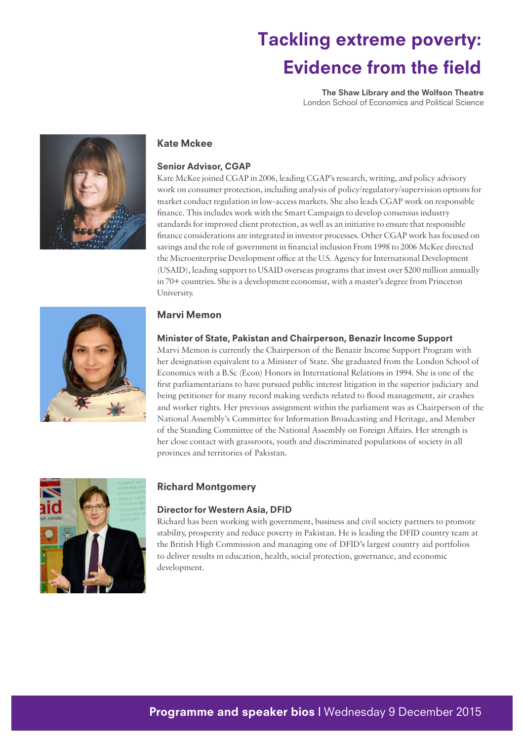The Shaw Library and the Wolfson Theatre London School of Economics and Political Science



### Kate Mckee

#### Senior Advisor, CGAP

Kate McKee joined CGAP in 2006, leading CGAP's research, writing, and policy advisory work on consumer protection, including analysis of policy/regulatory/supervision options for market conduct regulation in low-access markets. She also leads CGAP work on responsible finance. This includes work with the Smart Campaign to develop consensus industry standards for improved client protection, as well as an initiative to ensure that responsible finance considerations are integrated in investor processes. Other CGAP work has focused on savings and the role of government in financial inclusion From 1998 to 2006 McKee directed the Microenterprise Development office at the U.S. Agency for International Development (USAID), leading support to USAID overseas programs that invest over \$200 million annually in 70+ countries. She is a development economist, with a master's degree from Princeton University.



### Marvi Memon

#### Minister of State, Pakistan and Chairperson, Benazir Income Support

Marvi Memon is currently the Chairperson of the Benazir Income Support Program with her designation equivalent to a Minister of State. She graduated from the London School of Economics with a B.Sc (Econ) Honors in International Relations in 1994. She is one of the first parliamentarians to have pursued public interest litigation in the superior judiciary and being petitioner for many record making verdicts related to flood management, air crashes and worker rights. Her previous assignment within the parliament was as Chairperson of the National Assembly's Committee for Information Broadcasting and Heritage, and Member of the Standing Committee of the National Assembly on Foreign Affairs. Her strength is her close contact with grassroots, youth and discriminated populations of society in all provinces and territories of Pakistan.



### Richard Montgomery

### Director for Western Asia, DFID

Richard has been working with government, business and civil society partners to promote stability, prosperity and reduce poverty in Pakistan. He is leading the DFID country team at the British High Commission and managing one of DFID's largest country aid portfolios to deliver results in education, health, social protection, governance, and economic development.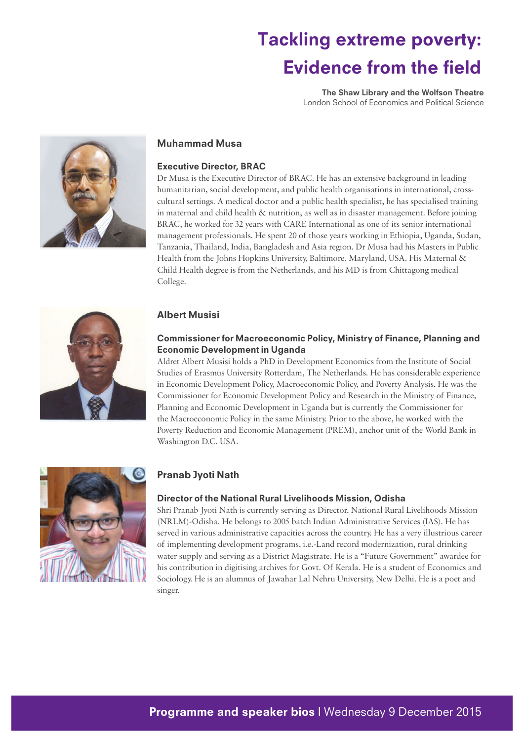The Shaw Library and the Wolfson Theatre London School of Economics and Political Science



### Muhammad Musa

### Executive Director, BRAC

Dr Musa is the Executive Director of BRAC. He has an extensive background in leading humanitarian, social development, and public health organisations in international, crosscultural settings. A medical doctor and a public health specialist, he has specialised training in maternal and child health & nutrition, as well as in disaster management. Before joining BRAC, he worked for 32 years with CARE International as one of its senior international management professionals. He spent 20 of those years working in Ethiopia, Uganda, Sudan, Tanzania, Thailand, India, Bangladesh and Asia region. Dr Musa had his Masters in Public Health from the Johns Hopkins University, Baltimore, Maryland, USA. His Maternal & Child Health degree is from the Netherlands, and his MD is from Chittagong medical College.



### Albert Musisi

### Commissioner for Macroeconomic Policy, Ministry of Finance, Planning and Economic Development in Uganda

Aldret Albert Musisi holds a PhD in Development Economics from the Institute of Social Studies of Erasmus University Rotterdam, The Netherlands. He has considerable experience in Economic Development Policy, Macroeconomic Policy, and Poverty Analysis. He was the Commissioner for Economic Development Policy and Research in the Ministry of Finance, Planning and Economic Development in Uganda but is currently the Commissioner for the Macroeconomic Policy in the same Ministry. Prior to the above, he worked with the Poverty Reduction and Economic Management (PREM), anchor unit of the World Bank in Washington D.C. USA.



# Pranab Jyoti Nath

### Director of the National Rural Livelihoods Mission, Odisha

Shri Pranab Jyoti Nath is currently serving as Director, National Rural Livelihoods Mission (NRLM)-Odisha. He belongs to 2005 batch Indian Administrative Services (IAS). He has served in various administrative capacities across the country. He has a very illustrious career of implementing development programs, i.e.-Land record modernization, rural drinking water supply and serving as a District Magistrate. He is a "Future Government" awardee for his contribution in digitising archives for Govt. Of Kerala. He is a student of Economics and Sociology. He is an alumnus of Jawahar Lal Nehru University, New Delhi. He is a poet and singer.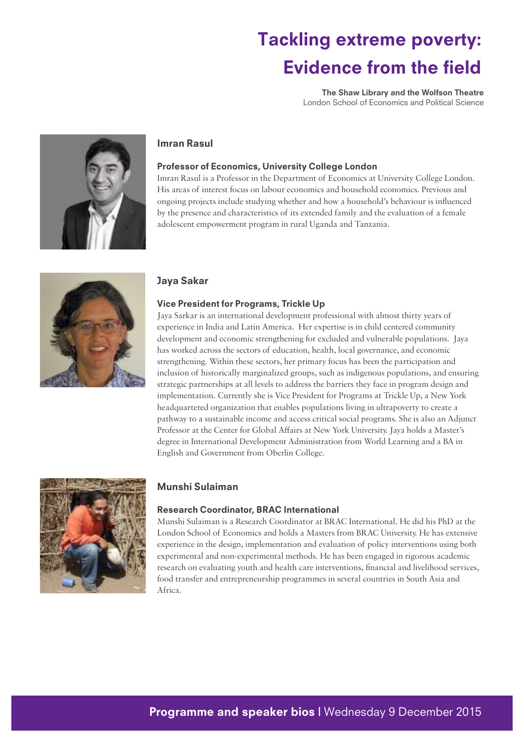The Shaw Library and the Wolfson Theatre London School of Economics and Political Science



### Imran Rasul

#### Professor of Economics, University College London

Imran Rasul is a Professor in the Department of Economics at University College London. His areas of interest focus on labour economics and household economics. Previous and ongoing projects include studying whether and how a household's behaviour is influenced by the presence and characteristics of its extended family and the evaluation of a female adolescent empowerment program in rural Uganda and Tanzania.



### Jaya Sakar

#### Vice President for Programs, Trickle Up

Jaya Sarkar is an international development professional with almost thirty years of experience in India and Latin America. Her expertise is in child centered community development and economic strengthening for excluded and vulnerable populations. Jaya has worked across the sectors of education, health, local governance, and economic strengthening. Within these sectors, her primary focus has been the participation and inclusion of historically marginalized groups, such as indigenous populations, and ensuring strategic partnerships at all levels to address the barriers they face in program design and implementation. Currently she is Vice President for Programs at Trickle Up, a New York headquartered organization that enables populations living in ultrapoverty to create a pathway to a sustainable income and access critical social programs. She is also an Adjunct Professor at the Center for Global Affairs at New York University. Jaya holds a Master's degree in International Development Administration from World Learning and a BA in English and Government from Oberlin College.



### Munshi Sulaiman

#### Research Coordinator, BRAC International

Munshi Sulaiman is a Research Coordinator at BRAC International. He did his PhD at the London School of Economics and holds a Masters from BRAC University. He has extensive experience in the design, implementation and evaluation of policy interventions using both experimental and non-experimental methods. He has been engaged in rigorous academic research on evaluating youth and health care interventions, financial and livelihood services, food transfer and entrepreneurship programmes in several countries in South Asia and Africa.